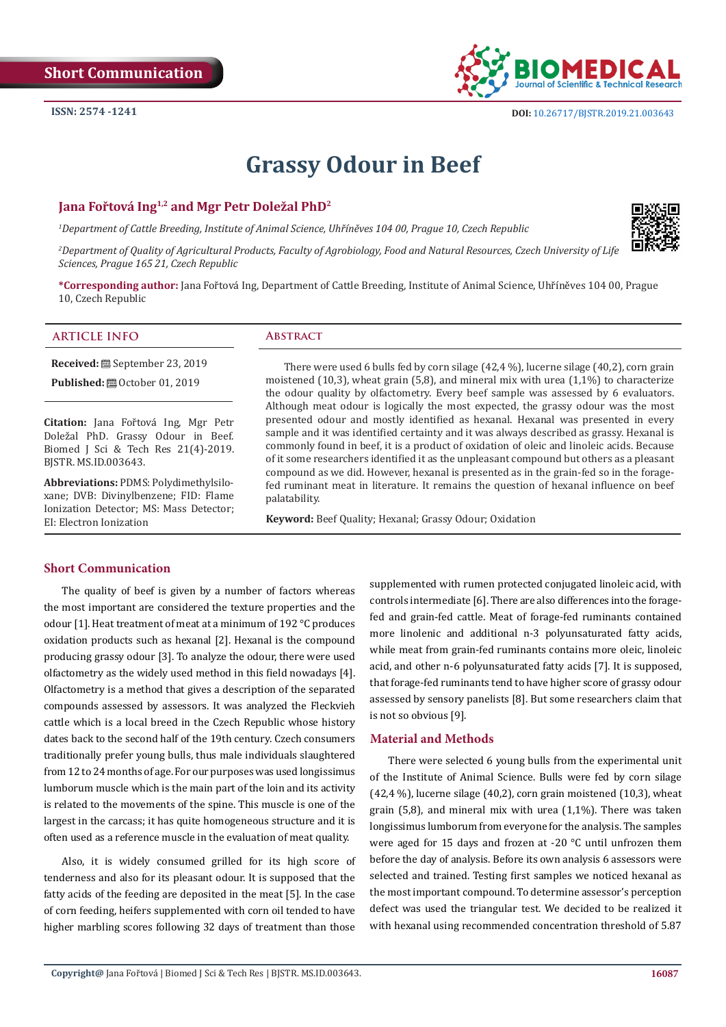

# **Grassy Odour in Beef**

# **Jana Fořtová Ing1,2 and Mgr Petr Doležal PhD<sup>2</sup>**

*1 Department of Cattle Breeding, Institute of Animal Science, Uhříněves 104 00, Prague 10, Czech Republic*

*2 Department of Quality of Agricultural Products, Faculty of Agrobiology, Food and Natural Resources, Czech University of Life Sciences, Prague 165 21, Czech Republic*

**\*Corresponding author:** Jana Fořtová Ing, Department of Cattle Breeding, Institute of Animal Science, Uhříněves 104 00, Prague 10, Czech Republic

#### **ARTICLE INFO Abstract**

**Received:** September 23, 2019 **Published:** © October 01, 2019

**Citation:** Jana Fořtová Ing, Mgr Petr Doležal PhD. Grassy Odour in Beef. Biomed J Sci & Tech Res 21(4)-2019. BJSTR. MS.ID.003643.

**Abbreviations:** PDMS: Polydimethylsiloxane; DVB: Divinylbenzene; FID: Flame Ionization Detector; MS: Mass Detector; EI: Electron Ionization

There were used 6 bulls fed by corn silage (42,4 %), lucerne silage (40,2), corn grain moistened  $(10,3)$ , wheat grain  $(5,8)$ , and mineral mix with urea  $(1,1\%)$  to characterize the odour quality by olfactometry. Every beef sample was assessed by 6 evaluators. Although meat odour is logically the most expected, the grassy odour was the most presented odour and mostly identified as hexanal. Hexanal was presented in every sample and it was identified certainty and it was always described as grassy. Hexanal is commonly found in beef, it is a product of oxidation of oleic and linoleic acids. Because of it some researchers identified it as the unpleasant compound but others as a pleasant compound as we did. However, hexanal is presented as in the grain-fed so in the foragefed ruminant meat in literature. It remains the question of hexanal influence on beef palatability.

**Keyword:** Beef Quality; Hexanal; Grassy Odour; Oxidation

# **Short Communication**

The quality of beef is given by a number of factors whereas the most important are considered the texture properties and the odour [1]. Heat treatment of meat at a minimum of 192 °C produces oxidation products such as hexanal [2]. Hexanal is the compound producing grassy odour [3]. To analyze the odour, there were used olfactometry as the widely used method in this field nowadays [4]. Olfactometry is a method that gives a description of the separated compounds assessed by assessors. It was analyzed the Fleckvieh cattle which is a local breed in the Czech Republic whose history dates back to the second half of the 19th century. Czech consumers traditionally prefer young bulls, thus male individuals slaughtered from 12 to 24 months of age. For our purposes was used longissimus lumborum muscle which is the main part of the loin and its activity is related to the movements of the spine. This muscle is one of the largest in the carcass; it has quite homogeneous structure and it is often used as a reference muscle in the evaluation of meat quality.

Also, it is widely consumed grilled for its high score of tenderness and also for its pleasant odour. It is supposed that the fatty acids of the feeding are deposited in the meat [5]. In the case of corn feeding, heifers supplemented with corn oil tended to have higher marbling scores following 32 days of treatment than those

supplemented with rumen protected conjugated linoleic acid, with controls intermediate [6]. There are also differences into the foragefed and grain-fed cattle. Meat of forage-fed ruminants contained more linolenic and additional n-3 polyunsaturated fatty acids, while meat from grain-fed ruminants contains more oleic, linoleic acid, and other n-6 polyunsaturated fatty acids [7]. It is supposed, that forage-fed ruminants tend to have higher score of grassy odour assessed by sensory panelists [8]. But some researchers claim that is not so obvious [9].

## **Material and Methods**

There were selected 6 young bulls from the experimental unit of the Institute of Animal Science. Bulls were fed by corn silage  $(42,4\%)$ , lucerne silage  $(40,2)$ , corn grain moistened  $(10,3)$ , wheat grain (5,8), and mineral mix with urea (1,1%). There was taken longissimus lumborum from everyone for the analysis. The samples were aged for 15 days and frozen at -20 °C until unfrozen them before the day of analysis. Before its own analysis 6 assessors were selected and trained. Testing first samples we noticed hexanal as the most important compound. To determine assessor's perception defect was used the triangular test. We decided to be realized it with hexanal using recommended concentration threshold of 5.87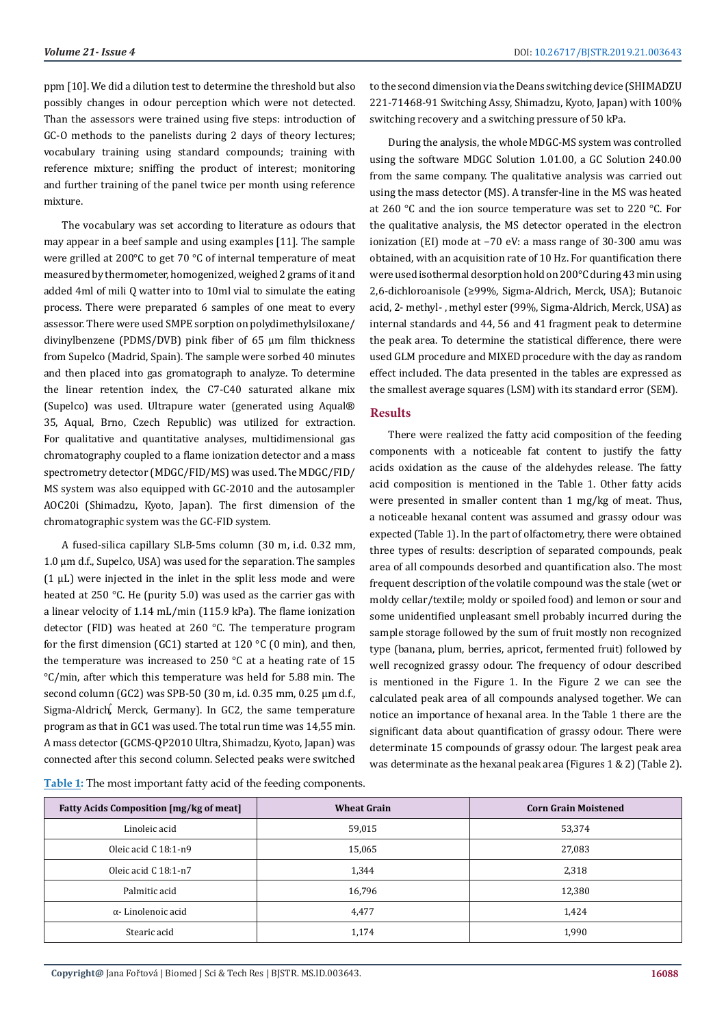ppm [10]. We did a dilution test to determine the threshold but also possibly changes in odour perception which were not detected. Than the assessors were trained using five steps: introduction of GC-O methods to the panelists during 2 days of theory lectures; vocabulary training using standard compounds; training with reference mixture; sniffing the product of interest; monitoring and further training of the panel twice per month using reference mixture.

The vocabulary was set according to literature as odours that may appear in a beef sample and using examples [11]. The sample were grilled at 200°C to get 70 °C of internal temperature of meat measured by thermometer, homogenized, weighed 2 grams of it and added 4ml of mili Q watter into to 10ml vial to simulate the eating process. There were preparated 6 samples of one meat to every assessor. There were used SMPE sorption on polydimethylsiloxane/ divinylbenzene (PDMS/DVB) pink fiber of 65 μm film thickness from Supelco (Madrid, Spain). The sample were sorbed 40 minutes and then placed into gas gromatograph to analyze. To determine the linear retention index, the C7-C40 saturated alkane mix (Supelco) was used. Ultrapure water (generated using Aqual® 35, Aqual, Brno, Czech Republic) was utilized for extraction. For qualitative and quantitative analyses, multidimensional gas chromatography coupled to a flame ionization detector and a mass spectrometry detector (MDGC/FID/MS) was used. The MDGC/FID/ MS system was also equipped with GC-2010 and the autosampler AOC20i (Shimadzu, Kyoto, Japan). The first dimension of the chromatographic system was the GC-FID system.

A fused-silica capillary SLB-5ms column (30 m, i.d. 0.32 mm, 1.0 μm d.f., Supelco, USA) was used for the separation. The samples (1 μL) were injected in the inlet in the split less mode and were heated at 250 °C. He (purity 5.0) was used as the carrier gas with a linear velocity of 1.14 mL/min (115.9 kPa). The flame ionization detector (FID) was heated at 260 °C. The temperature program for the first dimension (GC1) started at 120  $^{\circ}$ C (0 min), and then, the temperature was increased to 250 °C at a heating rate of 15 °C/min, after which this temperature was held for 5.88 min. The second column (GC2) was SPB-50 (30 m, i.d. 0.35 mm, 0.25 μm d.f., Sigma-Aldrich, Merck, Germany). In GC2, the same temperature program as that in GC1 was used. The total run time was 14,55 min. A mass detector (GCMS-QP2010 Ultra, Shimadzu, Kyoto, Japan) was connected after this second column. Selected peaks were switched to the second dimension via the Deans switching device (SHIMADZU 221-71468-91 Switching Assy, Shimadzu, Kyoto, Japan) with 100% switching recovery and a switching pressure of 50 kPa.

During the analysis, the whole MDGC-MS system was controlled using the software MDGC Solution 1.01.00, a GC Solution 240.00 from the same company. The qualitative analysis was carried out using the mass detector (MS). A transfer-line in the MS was heated at 260 °C and the ion source temperature was set to 220 °C. For the qualitative analysis, the MS detector operated in the electron ionization (EI) mode at −70 eV: a mass range of 30-300 amu was obtained, with an acquisition rate of 10 Hz. For quantification there were used isothermal desorption hold on 200°C during 43 min using 2,6-dichloroanisole (≥99%, Sigma-Aldrich, Merck, USA); Butanoic acid, 2- methyl- , methyl ester (99%, Sigma-Aldrich, Merck, USA) as internal standards and 44, 56 and 41 fragment peak to determine the peak area. To determine the statistical difference, there were used GLM procedure and MIXED procedure with the day as random effect included. The data presented in the tables are expressed as the smallest average squares (LSM) with its standard error (SEM).

#### **Results**

There were realized the fatty acid composition of the feeding components with a noticeable fat content to justify the fatty acids oxidation as the cause of the aldehydes release. The fatty acid composition is mentioned in the Table 1. Other fatty acids were presented in smaller content than 1 mg/kg of meat. Thus, a noticeable hexanal content was assumed and grassy odour was expected (Table 1). In the part of olfactometry, there were obtained three types of results: description of separated compounds, peak area of all compounds desorbed and quantification also. The most frequent description of the volatile compound was the stale (wet or moldy cellar/textile; moldy or spoiled food) and lemon or sour and some unidentified unpleasant smell probably incurred during the sample storage followed by the sum of fruit mostly non recognized type (banana, plum, berries, apricot, fermented fruit) followed by well recognized grassy odour. The frequency of odour described is mentioned in the Figure 1. In the Figure 2 we can see the calculated peak area of all compounds analysed together. We can notice an importance of hexanal area. In the Table 1 there are the significant data about quantification of grassy odour. There were determinate 15 compounds of grassy odour. The largest peak area was determinate as the hexanal peak area (Figures 1 & 2) (Table 2).

**Table 1:** The most important fatty acid of the feeding components.

| <b>Fatty Acids Composition [mg/kg of meat]</b> | <b>Wheat Grain</b> | <b>Corn Grain Moistened</b> |  |
|------------------------------------------------|--------------------|-----------------------------|--|
| Linoleic acid                                  | 59,015             | 53,374                      |  |
| Oleic acid C 18:1-n9                           | 15,065             | 27,083                      |  |
| Oleic acid $C$ 18:1-n7                         | 1,344              | 2,318                       |  |
| Palmitic acid                                  | 16,796             | 12,380                      |  |
| 4,477<br>$\alpha$ - Linolenoic acid            |                    | 1,424                       |  |
| Stearic acid                                   | 1,174              | 1,990                       |  |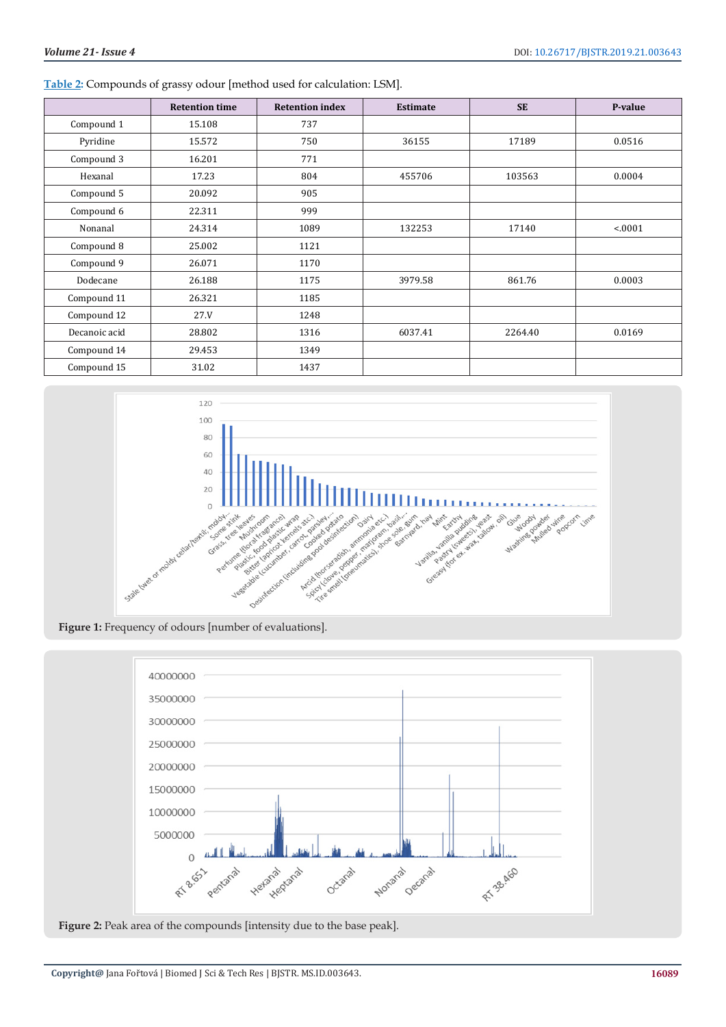|               | <b>Retention time</b> | <b>Retention index</b> | <b>Estimate</b> | <b>SE</b> | P-value |
|---------------|-----------------------|------------------------|-----------------|-----------|---------|
| Compound 1    | 15.108                | 737                    |                 |           |         |
| Pyridine      | 15.572                | 750                    | 36155           | 17189     | 0.0516  |
| Compound 3    | 16.201                | 771                    |                 |           |         |
| Hexanal       | 17.23                 | 804                    | 455706          | 103563    | 0.0004  |
| Compound 5    | 20.092                | 905                    |                 |           |         |
| Compound 6    | 22.311                | 999                    |                 |           |         |
| Nonanal       | 24.314                | 1089                   | 132253          | 17140     | < 0001  |
| Compound 8    | 25.002                | 1121                   |                 |           |         |
| Compound 9    | 26.071                | 1170                   |                 |           |         |
| Dodecane      | 26.188                | 1175                   | 3979.58         | 861.76    | 0.0003  |
| Compound 11   | 26.321                | 1185                   |                 |           |         |
| Compound 12   | 27.V                  | 1248                   |                 |           |         |
| Decanoic acid | 28.802                | 1316                   | 6037.41         | 2264.40   | 0.0169  |
| Compound 14   | 29.453                | 1349                   |                 |           |         |
| Compound 15   | 31.02                 | 1437                   |                 |           |         |

**Table 2:** Compounds of grassy odour [method used for calculation: LSM].